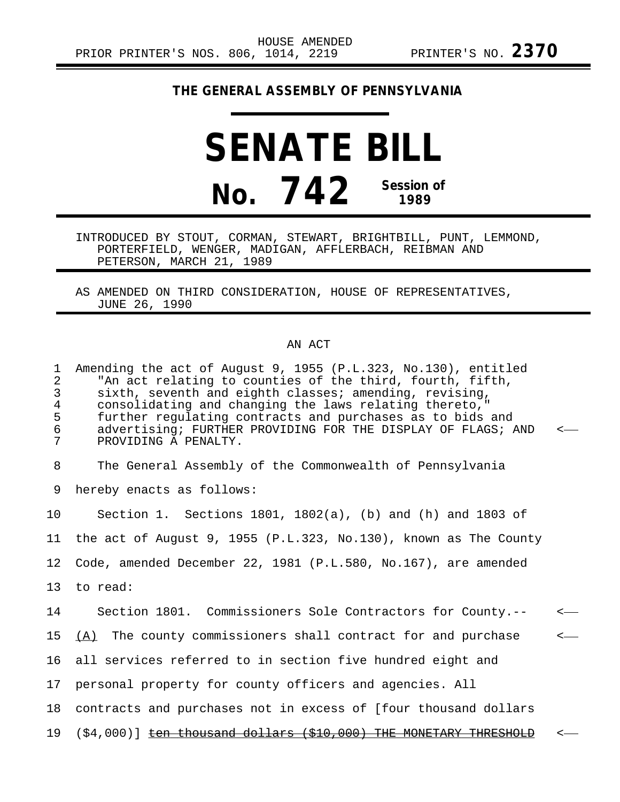## **THE GENERAL ASSEMBLY OF PENNSYLVANIA**

## **SENATE BILL No. 742 Session of 1989**

INTRODUCED BY STOUT, CORMAN, STEWART, BRIGHTBILL, PUNT, LEMMOND, PORTERFIELD, WENGER, MADIGAN, AFFLERBACH, REIBMAN AND PETERSON, MARCH 21, 1989

AS AMENDED ON THIRD CONSIDERATION, HOUSE OF REPRESENTATIVES, JUNE 26, 1990

## AN ACT

| $\mathbf{1}$<br>$\overline{a}$<br>3<br>$\overline{4}$<br>5<br>6<br>$\overline{7}$ | Amending the act of August 9, 1955 (P.L.323, No.130), entitled<br>"An act relating to counties of the third, fourth, fifth,<br>sixth, seventh and eighth classes; amending, revising,<br>consolidating and changing the laws relating thereto,"<br>further regulating contracts and purchases as to bids and<br>advertising; FURTHER PROVIDING FOR THE DISPLAY OF FLAGS; AND<br>PROVIDING A PENALTY. |              |
|-----------------------------------------------------------------------------------|------------------------------------------------------------------------------------------------------------------------------------------------------------------------------------------------------------------------------------------------------------------------------------------------------------------------------------------------------------------------------------------------------|--------------|
| 8                                                                                 | The General Assembly of the Commonwealth of Pennsylvania                                                                                                                                                                                                                                                                                                                                             |              |
| 9                                                                                 | hereby enacts as follows:                                                                                                                                                                                                                                                                                                                                                                            |              |
| 10                                                                                | Section 1. Sections $1801, 1802(a)$ , (b) and (h) and 1803 of                                                                                                                                                                                                                                                                                                                                        |              |
|                                                                                   | 11 the act of August 9, 1955 (P.L.323, No.130), known as The County                                                                                                                                                                                                                                                                                                                                  |              |
| 12                                                                                | Code, amended December 22, 1981 (P.L.580, No.167), are amended                                                                                                                                                                                                                                                                                                                                       |              |
|                                                                                   | 13 to read:                                                                                                                                                                                                                                                                                                                                                                                          |              |
| 14                                                                                | Section 1801. Commissioners Sole Contractors for County.--                                                                                                                                                                                                                                                                                                                                           | $\leftarrow$ |
| 15                                                                                | (A) The county commissioners shall contract for and purchase                                                                                                                                                                                                                                                                                                                                         | $\leftarrow$ |
| 16                                                                                | all services referred to in section five hundred eight and                                                                                                                                                                                                                                                                                                                                           |              |
|                                                                                   | 17 personal property for county officers and agencies. All                                                                                                                                                                                                                                                                                                                                           |              |
| 18                                                                                | contracts and purchases not in excess of [four thousand dollars                                                                                                                                                                                                                                                                                                                                      |              |
| 19                                                                                | $(54,000)$ ten thousand dollars $(510,000)$ THE MONETARY                                                                                                                                                                                                                                                                                                                                             |              |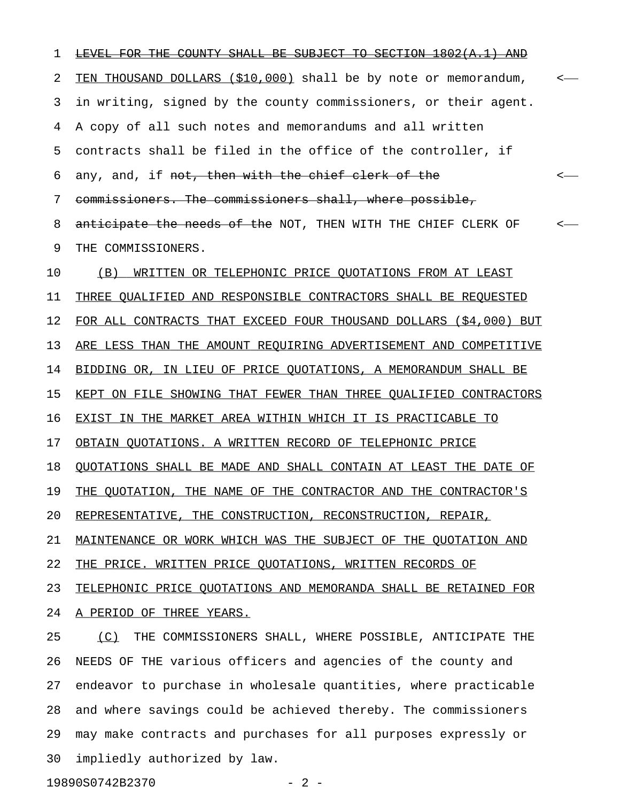| T  | <del>SHALL BE SUBJECT TO SECTION 1802(A.1) AND</del><br><del>ток тне</del><br><del>COUNTY</del> |  |
|----|-------------------------------------------------------------------------------------------------|--|
| 2  | TEN THOUSAND DOLLARS (\$10,000) shall be by note or memorandum,                                 |  |
| 3  | in writing, signed by the county commissioners, or their agent.                                 |  |
| 4  | A copy of all such notes and memorandums and all written                                        |  |
| 5  | contracts shall be filed in the office of the controller, if                                    |  |
| 6  | any, and, if not, then with the chief clerk of the                                              |  |
| 7  | commissioners. The commissioners shall, where possible,                                         |  |
| 8  | anticipate the needs of the NOT, THEN WITH THE CHIEF CLERK OF                                   |  |
| 9  | THE COMMISSIONERS.                                                                              |  |
| 10 | WRITTEN OR TELEPHONIC PRICE QUOTATIONS FROM AT LEAST<br>(B)                                     |  |
| 11 | THREE QUALIFIED AND RESPONSIBLE CONTRACTORS SHALL BE REQUESTED                                  |  |
| 12 | FOR ALL CONTRACTS THAT EXCEED FOUR THOUSAND DOLLARS (\$4,000) BUT                               |  |
| 13 | ARE LESS THAN THE AMOUNT REQUIRING ADVERTISEMENT AND COMPETITIVE                                |  |
| 14 | BIDDING OR, IN LIEU OF PRICE QUOTATIONS, A MEMORANDUM SHALL BE                                  |  |
| 15 | <u>KEPT ON FILE SHOWING THAT FEWER THAN THREE QUALIFIED CONTRACTORS</u>                         |  |
| 16 | EXIST IN THE MARKET AREA WITHIN WHICH IT IS PRACTICABLE TO                                      |  |
| 17 | OBTAIN QUOTATIONS. A WRITTEN RECORD OF TELEPHONIC PRICE                                         |  |
| 18 | <u>OUOTATIONS SHALL BE MADE AND SHALL CONTAIN AT LEAST THE DATE OF</u>                          |  |
| 19 | THE QUOTATION, THE NAME OF THE CONTRACTOR AND THE CONTRACTOR'S                                  |  |
| 20 | REPRESENTATIVE, THE CONSTRUCTION, RECONSTRUCTION, REPAIR,                                       |  |
| 21 | MAINTENANCE OR WORK WHICH WAS THE SUBJECT OF THE QUOTATION AND                                  |  |
| 22 | THE PRICE. WRITTEN PRICE QUOTATIONS, WRITTEN RECORDS OF                                         |  |
| 23 | TELEPHONIC PRICE QUOTATIONS AND MEMORANDA SHALL BE RETAINED FOR                                 |  |
| 24 | A PERIOD OF THREE YEARS.                                                                        |  |
| 25 | (C)<br>THE COMMISSIONERS SHALL, WHERE POSSIBLE, ANTICIPATE THE                                  |  |
| 26 | NEEDS OF THE various officers and agencies of the county and                                    |  |
| 27 | endeavor to purchase in wholesale quantities, where practicable                                 |  |
| 28 | and where savings could be achieved thereby. The commissioners                                  |  |
| 29 | may make contracts and purchases for all purposes expressly or                                  |  |
| 30 | impliedly authorized by law.                                                                    |  |
|    |                                                                                                 |  |

19890S0742B2370 - 2 -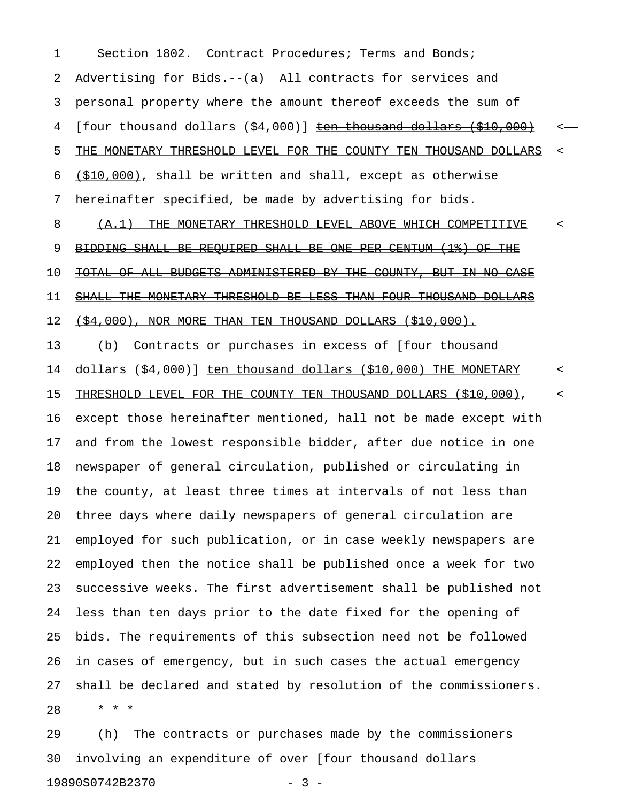1 Section 1802. Contract Procedures; Terms and Bonds; 2 Advertising for Bids.--(a) All contracts for services and 3 personal property where the amount thereof exceeds the sum of 4 [four thousand dollars  $(\$4,000)$ ]  $ten$  thousand dollars  $(\$10,000)$ </u> 5 THE MONETARY THRESHOLD LEVEL FOR THE COUNTY TEN THOUSAND DOLLARS <-6 (\$10,000), shall be written and shall, except as otherwise 7 hereinafter specified, be made by advertising for bids.

 $8$   $\leftrightarrow$   $\{A,1\}$  THE MONETARY THRESHOLD LEVEL ABOVE WHICH COMPETITIVE 9 BIDDING SHALL BE REQUIRED SHALL BE ONE PER CENTUM (1%) OF THE 10 TOTAL OF ALL BUDGETS ADMINISTERED BY THE COUNTY, BUT IN NO CASE 11 SHALL THE MONETARY THRESHOLD BE LESS THAN FOUR THOUSAND DOLLARS

 $12$   $\leftrightarrow$   $($ \$4,000 $)$ , NOR MORE THAN TEN THOUSAND DOLLARS  $($ \$10,000 $)$ .

13 (b) Contracts or purchases in excess of [four thousand 14 dollars (\$4,000)] <del>ten thousand dollars (\$10,000) THE MONETARY</del> <-15 THRESHOLD LEVEL FOR THE COUNTY TEN THOUSAND DOLLARS (\$10,000), <-16 except those hereinafter mentioned, hall not be made except with 17 and from the lowest responsible bidder, after due notice in one 18 newspaper of general circulation, published or circulating in 19 the county, at least three times at intervals of not less than 20 three days where daily newspapers of general circulation are 21 employed for such publication, or in case weekly newspapers are 22 employed then the notice shall be published once a week for two 23 successive weeks. The first advertisement shall be published not 24 less than ten days prior to the date fixed for the opening of 25 bids. The requirements of this subsection need not be followed 26 in cases of emergency, but in such cases the actual emergency 27 shall be declared and stated by resolution of the commissioners. 28 \* \* \*

29 (h) The contracts or purchases made by the commissioners 30 involving an expenditure of over [four thousand dollars 19890S0742B2370 - 3 -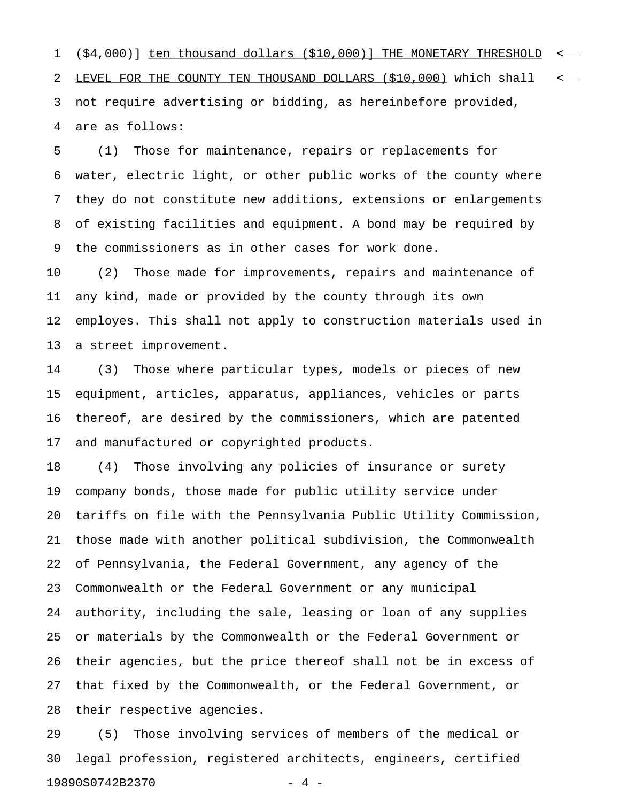$1$  (\$4,000)] ten thousand dollars (\$10,000)] THE MONETARY THRESHOLD < 2 LEVEL FOR THE COUNTY TEN THOUSAND DOLLARS (\$10,000) which shall <-3 not require advertising or bidding, as hereinbefore provided, 4 are as follows:

5 (1) Those for maintenance, repairs or replacements for 6 water, electric light, or other public works of the county where 7 they do not constitute new additions, extensions or enlargements 8 of existing facilities and equipment. A bond may be required by 9 the commissioners as in other cases for work done.

10 (2) Those made for improvements, repairs and maintenance of 11 any kind, made or provided by the county through its own 12 employes. This shall not apply to construction materials used in 13 a street improvement.

14 (3) Those where particular types, models or pieces of new 15 equipment, articles, apparatus, appliances, vehicles or parts 16 thereof, are desired by the commissioners, which are patented 17 and manufactured or copyrighted products.

18 (4) Those involving any policies of insurance or surety 19 company bonds, those made for public utility service under 20 tariffs on file with the Pennsylvania Public Utility Commission, 21 those made with another political subdivision, the Commonwealth 22 of Pennsylvania, the Federal Government, any agency of the 23 Commonwealth or the Federal Government or any municipal 24 authority, including the sale, leasing or loan of any supplies 25 or materials by the Commonwealth or the Federal Government or 26 their agencies, but the price thereof shall not be in excess of 27 that fixed by the Commonwealth, or the Federal Government, or 28 their respective agencies.

29 (5) Those involving services of members of the medical or 30 legal profession, registered architects, engineers, certified 19890S0742B2370 - 4 -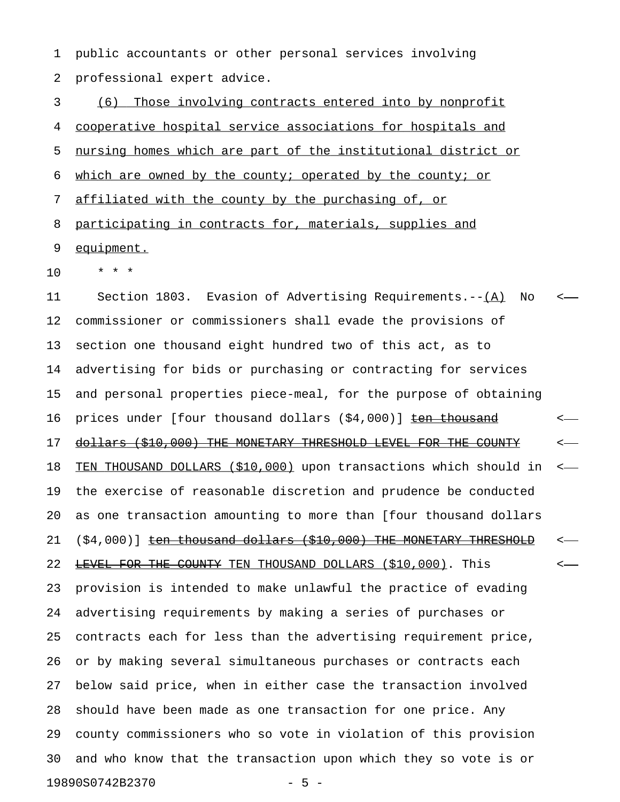1 public accountants or other personal services involving 2 professional expert advice.

3 (6) Those involving contracts entered into by nonprofit 4 cooperative hospital service associations for hospitals and 5 nursing homes which are part of the institutional district or 6 which are owned by the county; operated by the county; or 7 affiliated with the county by the purchasing of, or 8 participating in contracts for, materials, supplies and

9 equipment.

10 \* \* \*

11 Section 1803. Evasion of Advertising Requirements.--(A) No <-12 commissioner or commissioners shall evade the provisions of 13 section one thousand eight hundred two of this act, as to 14 advertising for bids or purchasing or contracting for services 15 and personal properties piece-meal, for the purpose of obtaining 16 prices under [four thousand dollars (\$4,000)] <del>ten thousand</del> <-17 dollars (\$10,000) THE MONETARY THRESHOLD LEVEL FOR THE COUNTY  $\sim$ 18 TEN THOUSAND DOLLARS (\$10,000) upon transactions which should in <-19 the exercise of reasonable discretion and prudence be conducted 20 as one transaction amounting to more than [four thousand dollars 21 (\$4,000)] <del>ten thousand dollars (\$10,000) THE MONETARY THRESHOLD</del> <-22 <del>LEVEL FOR THE COUNTY</del> TEN THOUSAND DOLLARS (\$10,000). This  $\sim$ 23 provision is intended to make unlawful the practice of evading 24 advertising requirements by making a series of purchases or 25 contracts each for less than the advertising requirement price, 26 or by making several simultaneous purchases or contracts each 27 below said price, when in either case the transaction involved 28 should have been made as one transaction for one price. Any 29 county commissioners who so vote in violation of this provision 30 and who know that the transaction upon which they so vote is or 19890S0742B2370 - 5 -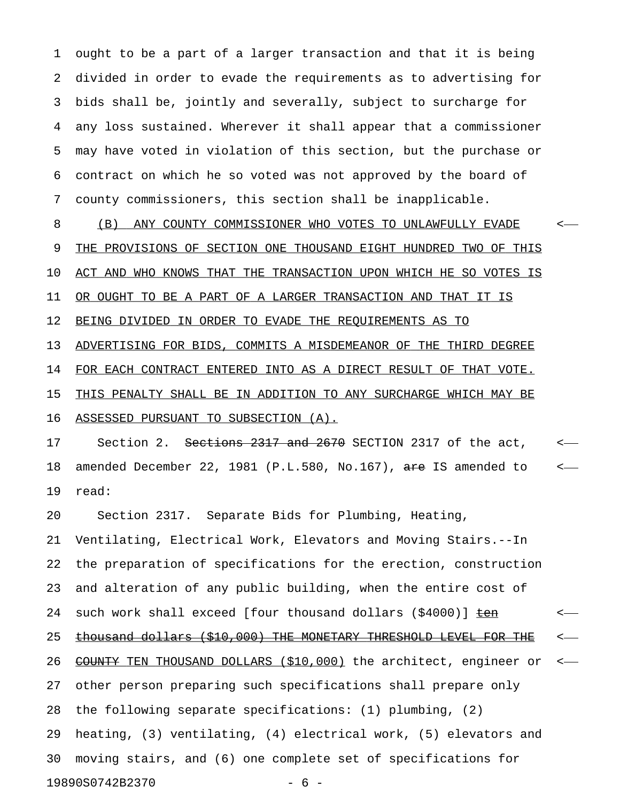1 ought to be a part of a larger transaction and that it is being 2 divided in order to evade the requirements as to advertising for 3 bids shall be, jointly and severally, subject to surcharge for 4 any loss sustained. Wherever it shall appear that a commissioner 5 may have voted in violation of this section, but the purchase or 6 contract on which he so voted was not approved by the board of 7 county commissioners, this section shall be inapplicable.

8 (B) ANY COUNTY COMMISSIONER WHO VOTES TO UNLAWFULLY EVADE 9 THE PROVISIONS OF SECTION ONE THOUSAND EIGHT HUNDRED TWO OF THIS 10 ACT AND WHO KNOWS THAT THE TRANSACTION UPON WHICH HE SO VOTES IS 11 OR OUGHT TO BE A PART OF A LARGER TRANSACTION AND THAT IT IS 12 BEING DIVIDED IN ORDER TO EVADE THE REQUIREMENTS AS TO 13 ADVERTISING FOR BIDS, COMMITS A MISDEMEANOR OF THE THIRD DEGREE 14 FOR EACH CONTRACT ENTERED INTO AS A DIRECT RESULT OF THAT VOTE. 15 THIS PENALTY SHALL BE IN ADDITION TO ANY SURCHARGE WHICH MAY BE 16 ASSESSED PURSUANT TO SUBSECTION (A).

17 Section 2. Sections 2317 and 2670 SECTION 2317 of the act,  $\sim$ 18 amended December 22, 1981 (P.L.580, No.167),  $\frac{1}{2}$  are IS amended to  $\leftarrow$ 19 read:

20 Section 2317. Separate Bids for Plumbing, Heating,

21 Ventilating, Electrical Work, Elevators and Moving Stairs.--In 22 the preparation of specifications for the erection, construction 23 and alteration of any public building, when the entire cost of 24 such work shall exceed [four thousand dollars  $(\$4000)$ ]  $\frac{\text{teen}}{\text{teen}}$  < 25 thousand dollars (\$10,000) THE MONETARY THRESHOLD LEVEL FOR THE <-26 COUNTY TEN THOUSAND DOLLARS (\$10,000) the architect, engineer or < 27 other person preparing such specifications shall prepare only 28 the following separate specifications: (1) plumbing, (2) 29 heating, (3) ventilating, (4) electrical work, (5) elevators and 30 moving stairs, and (6) one complete set of specifications for 19890S0742B2370 - 6 -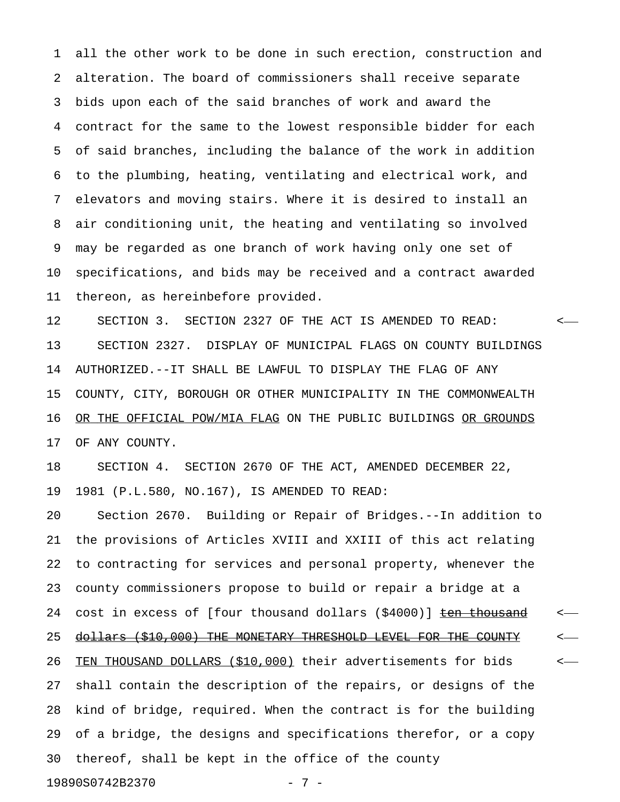1 all the other work to be done in such erection, construction and 2 alteration. The board of commissioners shall receive separate 3 bids upon each of the said branches of work and award the 4 contract for the same to the lowest responsible bidder for each 5 of said branches, including the balance of the work in addition 6 to the plumbing, heating, ventilating and electrical work, and 7 elevators and moving stairs. Where it is desired to install an 8 air conditioning unit, the heating and ventilating so involved 9 may be regarded as one branch of work having only one set of 10 specifications, and bids may be received and a contract awarded 11 thereon, as hereinbefore provided.

12 SECTION 3. SECTION 2327 OF THE ACT IS AMENDED TO READ: < 13 SECTION 2327. DISPLAY OF MUNICIPAL FLAGS ON COUNTY BUILDINGS 14 AUTHORIZED.--IT SHALL BE LAWFUL TO DISPLAY THE FLAG OF ANY 15 COUNTY, CITY, BOROUGH OR OTHER MUNICIPALITY IN THE COMMONWEALTH 16 OR THE OFFICIAL POW/MIA FLAG ON THE PUBLIC BUILDINGS OR GROUNDS 17 OF ANY COUNTY.

18 SECTION 4. SECTION 2670 OF THE ACT, AMENDED DECEMBER 22, 19 1981 (P.L.580, NO.167), IS AMENDED TO READ:

20 Section 2670. Building or Repair of Bridges.--In addition to 21 the provisions of Articles XVIII and XXIII of this act relating 22 to contracting for services and personal property, whenever the 23 county commissioners propose to build or repair a bridge at a 24 cost in excess of [four thousand dollars (\$4000)] **ten thousand** < 25 dollars (\$10,000) THE MONETARY THRESHOLD LEVEL FOR THE COUNTY  $\sim$ 26 TEN THOUSAND DOLLARS (\$10,000) their advertisements for bids  $\leftarrow$ 27 shall contain the description of the repairs, or designs of the 28 kind of bridge, required. When the contract is for the building 29 of a bridge, the designs and specifications therefor, or a copy 30 thereof, shall be kept in the office of the county 19890S0742B2370 - 7 -